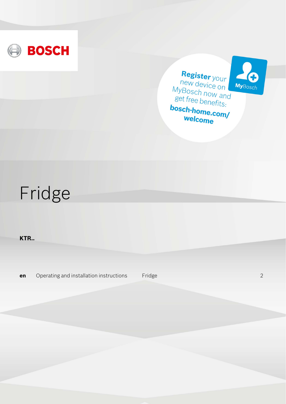





welcome

# Fridge

**KTR..**

**en** Operating and installation instructions Fridge [2](#page-1-0)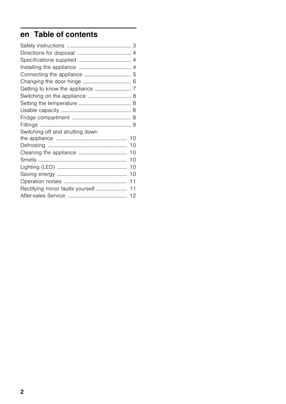# <span id="page-1-0"></span>en Table of contents

| Switching off and shutting down |    |
|---------------------------------|----|
|                                 |    |
|                                 |    |
|                                 |    |
|                                 | 10 |
|                                 | 10 |
|                                 | 10 |
|                                 |    |
|                                 |    |
|                                 |    |
|                                 |    |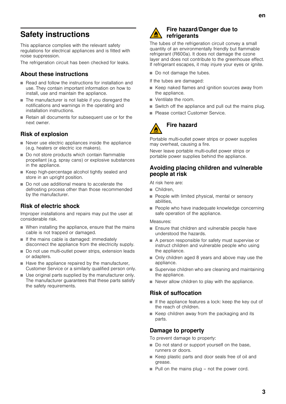<span id="page-2-0"></span>This appliance complies with the relevant safety regulations for electrical appliances and is fitted with noise suppression.

The refrigeration circuit has been checked for leaks.

### About these instructions

- Read and follow the instructions for installation and use. They contain important information on how to install, use and maintain the appliance.
- The manufacturer is not liable if you disregard the notifications and warnings in the operating and installation instructions.
- Retain all documents for subsequent use or for the next owner.

### Risk of explosion

- Never use electric appliances inside the appliance (e.g. heaters or electric ice makers).
- Do not store products which contain flammable propellant (e.g. spray cans) or explosive substances in the appliance.
- Keep high-percentage alcohol tightly sealed and store in an upright position.
- Do not use additional means to accelerate the defrosting process other than those recommended by the manufacturer.

### Risk of electric shock

Improper installations and repairs may put the user at considerable risk.

- When installing the appliance, ensure that the mains cable is not trapped or damaged.
- If the mains cable is damaged: immediately disconnect the appliance from the electricity supply.
- Do not use multi-outlet power strips, extension leads or adapters.
- Have the appliance repaired by the manufacturer, Customer Service or a similarly qualified person only.
- Use original parts supplied by the manufacturer only. The manufacturer guarantees that these parts satisfy the safety requirements.



#### Fire hazard/Danger due to refrigerants

The tubes of the refrigeration circuit convey a small quantity of an environmentally friendly but flammable refrigerant (R600a). It does not damage the ozone layer and does not contribute to the greenhouse effect. If refrigerant escapes, it may injure your eyes or ignite.

- Do not damage the tubes.
- If the tubes are damaged:
- Keep naked flames and ignition sources away from the appliance.
- Ventilate the room.
- Switch off the appliance and pull out the mains plug.
- Please contact Customer Service.



# Fire hazard

Portable multi-outlet power strips or power supplies may overheat, causing a fire.

Never leave portable multi-outlet power strips or portable power supplies behind the appliance.

#### Avoiding placing children and vulnerable people at risk

At risk here are:

- Children,
- People with limited physical, mental or sensory abilities,
- People who have inadequate knowledge concerning safe operation of the appliance.

#### Measures:

- Ensure that children and vulnerable people have understood the hazards.
- A person responsible for safety must supervise or instruct children and vulnerable people who using the appliance.
- Only children aged 8 years and above may use the appliance.
- Supervise children who are cleaning and maintaining the appliance.
- Never allow children to play with the appliance.

### Risk of suffocation

- If the appliance features a lock: keep the key out of the reach of children.
- Keep children away from the packaging and its parts.

### Damage to property

To prevent damage to property:

- Do not stand or support yourself on the base, runners or doors.
- Keep plastic parts and door seals free of oil and grease.
- $\blacksquare$  Pull on the mains plug not the power cord.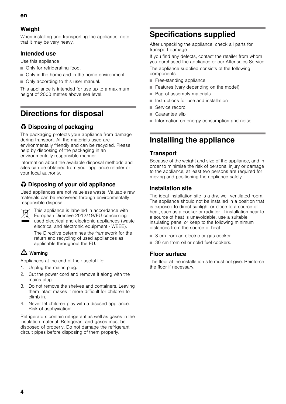### Weight

When installing and transporting the appliance, note that it may be very heavy.

### Intended use

Use this appliance

- Only for refrigerating food.
- Only in the home and in the home environment.
- Only according to this user manual.

This appliance is intended for use up to a maximum height of 2000 metres above sea level.

# <span id="page-3-0"></span>Directions for disposal

# $\bullet$  Disposing of packaging

The packaging protects your appliance from damage during transport. All the materials used are environmentally friendly and can be recycled. Please help by disposing of the packaging in an environmentally responsible manner.

Information about the available disposal methods and sites can be obtained from your appliance retailer or your local authority.

### \* Disposing of your old appliance

Used appliances are not valueless waste. Valuable raw materials can be recovered through environmentally responsible disposal.



This appliance is labelled in accordance with European Directive 2012/19/EU concerning used electrical and electronic appliances (waste electrical and electronic equipment - WEEE).

The Directive determines the framework for the return and recycling of used appliances as applicable throughout the EU.

### $\triangle$  Warning

Appliances at the end of their useful life:

- 1. Unplug the mains plug.
- 2. Cut the power cord and remove it along with the mains plug.
- 3. Do not remove the shelves and containers. Leaving them intact makes it more difficult for children to climb in.
- 4. Never let children play with a disused appliance. Risk of asphyxiation!

Refrigerators contain refrigerant as well as gases in the insulation material. Refrigerant and gases must be disposed of properly. Do not damage the refrigerant circuit pipes before disposing of them properly.

# <span id="page-3-1"></span>Specifications supplied

After unpacking the appliance, check all parts for transport damage.

If you find any defects, contact the retailer from whom you purchased the appliance or our After-sales Service. The appliance supplied consists of the following components:

- Free-standing appliance
- Features (vary depending on the model)
- Bag of assembly materials
- Instructions for use and installation
- Service record
- Guarantee slip
- Information on energy consumption and noise

# <span id="page-3-2"></span>Installing the appliance

### **Transport**

Because of the weight and size of the appliance, and in order to minimise the risk of personal injury or damage to the appliance, at least two persons are required for moving and positioning the appliance safely.

### Installation site

The ideal installation site is a dry, well ventilated room. The appliance should not be installed in a position that is exposed to direct sunlight or close to a source of heat, such as a cooker or radiator. If installation near to a source of heat is unavoidable, use a suitable insulating panel or keep to the following minimum distances from the source of heat:

- 3 cm from an electric or gas cooker.
- 30 cm from oil or solid fuel cookers.

#### Floor surface

The floor at the installation site must not give. Reinforce the floor if necessary.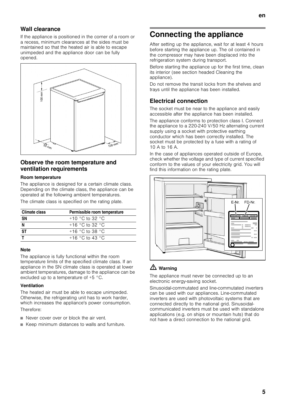### Wall clearance

If the appliance is positioned in the corner of a room or a recess, minimum clearances at the sides must be maintained so that the heated air is able to escape unimpeded and the appliance door can be fully opened.



#### Observe the room temperature and ventilation requirements

#### Room temperature

The appliance is designed for a certain climate class. Depending on the climate class, the appliance can be operated at the following ambient temperatures.

The climate class is specified on the rating plate.

| Climate class | Permissible room temperature |
|---------------|------------------------------|
| SΝ            | $+10$ °C to 32 °C            |
|               | $+16$ °C to 32 °C            |
| <b>ST</b>     | $+16$ °C to 38 °C            |
|               | $+16$ °C to 43 °C            |

#### **Note**

The appliance is fully functional within the room temperature limits of the specified climate class. If an appliance in the SN climate class is operated at lower ambient temperatures, damage to the appliance can be excluded up to a temperature of +5 °C.

#### Ventilation

The heated air must be able to escape unimpeded. Otherwise, the refrigerating unit has to work harder, which increases the appliance's power consumption. Therefore:

- Never cover over or block the air vent.
- Keep minimum distances to walls and furniture.

# <span id="page-4-0"></span>Connecting the appliance

After setting up the appliance, wait for at least 4 hours before starting the appliance up. The oil contained in the compressor may have been displaced into the refrigeration system during transport.

Before starting the appliance up for the first time, clean its interior (see section headed Cleaning the appliance).

Do not remove the transit locks from the shelves and trays until the appliance has been installed.

### Electrical connection

The socket must be near to the appliance and easily accessible after the appliance has been installed.

The appliance conforms to protection class I. Connect the appliance to a 220-240 V/50 Hz alternating current supply using a socket with protective earthing conductor which has been correctly installed. The socket must be protected by a fuse with a rating of 10 A to 16 A.

In the case of appliances operated outside of Europe, check whether the voltage and type of current specified conform to the values of your electricity grid. You will find this information on the rating plate.



### $\triangle$  Warning

The appliance must never be connected up to an electronic energy-saving socket.

Sinusoidal-commutated and line-commutated inverters can be used with our appliances. Line-commutated inverters are used with photovoltaic systems that are connected directly to the national grid. Sinusoidalcommunicated inverters must be used with standalone applications (e.g. on ships or mountain huts) that do not have a direct connection to the national grid.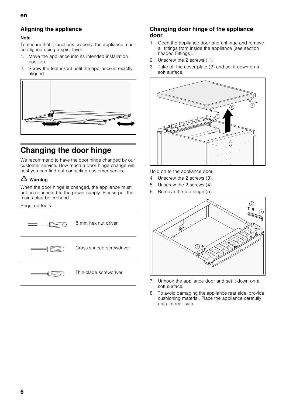### en

# Aligning the appliance

#### Note

To ensure that it functions properly, the appliance must be aligned using a spirit level.

- 1. Move the appliance into its intended installation position.
- 2. Screw the feet in/out until the appliance is exactly aligned.



# <span id="page-5-0"></span>Changing the door hinge

We recommend to have the door hinge changed by our customer service. How much a door hinge change will cost you can find out contacting customer service.

# $\triangle$  Warning

When the door hinge is changed, the appliance must not be connected to the power supply. Please pull the mains plug beforehand.

#### Required tools

| 8 mm hex nut driver      |
|--------------------------|
| Cross-shaped screwdriver |
| Thin-blade screwdriver   |

#### Changing door hinge of the appliance door

- 1. Open the appliance door and unhinge and remove all fittings from inside the appliance (see section headed Fittings).
- 2. Unscrew the 2 screws (1).
- 3. Take off the cover plate (2) and set it down on a soft surface.



Hold on to the appliance door!

- 4. Unscrew the 2 screws (3).
- 5. Unscrew the 2 screws (4).
- 6. Remove the top hinge (5).



- 7. Unhook the appliance door and set it down on a soft surface.
- 8. To avoid damaging the appliance rear side, provide cushioning material. Place the appliance carefully onto its rear side.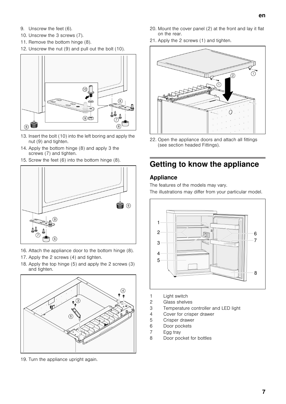- 9. Unscrew the feet (6).
- 10. Unscrew the 3 screws (7).
- 11. Remove the bottom hinge (8).
- 12. Unscrew the nut (9) and pull out the bolt (10).



- 13. Insert the bolt (10) into the left boring and apply the nut (9) and tighten.
- 14. Apply the bottom hinge (8) and apply 3 the screws (7) and tighten.
- 15. Screw the feet (6) into the bottom hinge (8).



- 16. Attach the appliance door to the bottom hinge (8).
- 17. Apply the 2 screws (4) and tighten.
- 18. Apply the top hinge (5) and apply the 2 screws (3) and tighten.



19. Turn the appliance upright again.

- 20. Mount the cover panel (2) at the front and lay it flat on the rear.
- 21. Apply the 2 screws (1) and tighten.



22. Open the appliance doors and attach all fittings (see section headed Fittings).

# <span id="page-6-0"></span>Getting to know the appliance

#### Appliance

The features of the models may vary. The illustrations may differ from your particular model.



- 1 Light switch
- 2 Glass shelves
- 3 Temperature controller and LED light
- 4 Cover for crisper drawer
- 5 Crisper drawer
- 6 Door pockets
- 7 Egg tray
- 8 Door pocket for bottles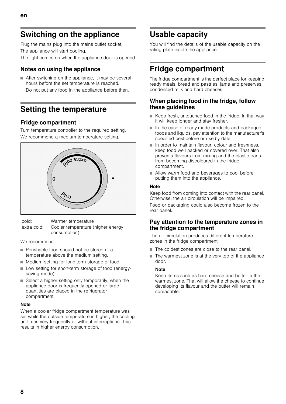# <span id="page-7-0"></span>Switching on the appliance

Plug the mains plug into the mains outlet socket. The appliance will start cooling.

The light comes on when the appliance door is opened.

### Notes on using the appliance

■ After switching on the appliance, it may be several hours before the set temperature is reached. Do not put any food in the appliance before then.

# <span id="page-7-1"></span>Setting the temperature

### Fridge compartment

Turn temperature controller to the required setting. We recommend a medium temperature setting.



cold: Warmer temperature extra cold: Cooler temperature (higher energy consumption)

We recommend:

- Perishable food should not be stored at a temperature above the medium setting.
- Medium setting for long-term storage of food.
- Low setting for short-term storage of food (energysaving mode).
- Select a higher setting only temporarily, when the appliance door is frequently opened or large quantities are placed in the refrigerator compartment.

#### Note

When a cooler fridge compartment temperature was set while the outside temperature is higher, the cooling unit runs very frequently or without interruptions. This results in higher energy consumption.

# <span id="page-7-2"></span>Usable capacity

You will find the details of the usable capacity on the rating plate inside the appliance.

# <span id="page-7-3"></span>Fridge compartment

The fridge compartment is the perfect place for keeping ready meals, bread and pastries, jams and preserves, condensed milk and hard cheeses.

#### When placing food in the fridge, follow these guidelines

- Keep fresh, untouched food in the fridge. In that way it will keep longer and stay fresher.
- In the case of ready-made products and packaged foods and liquids, pay attention to the manufacturer's specified best-before or use-by date.
- In order to maintain flavour, colour and freshness, keep food well packed or covered over. That also prevents flavours from mixing and the plastic parts from becoming discoloured in the fridge compartment.
- Allow warm food and beverages to cool before putting them into the appliance.

#### Note

Keep food from coming into contact with the rear panel. Otherwise, the air circulation will be impaired.

Food or packaging could also become frozen to the rear panel.

#### Pay attention to the temperature zones in the fridge compartment

The air circulation produces different temperature zones in the fridge compartment:

- The coldest zones are close to the rear panel.
- The warmest zone is at the very top of the appliance door.

#### **Note**

Keep items such as hard cheese and butter in the warmest zone. That will allow the cheese to continue developing its flavour and the butter will remain spreadable.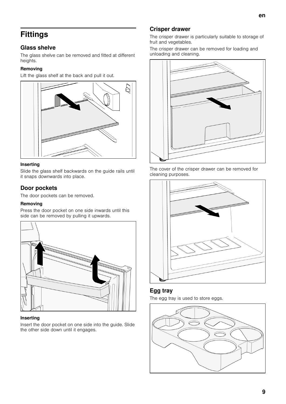# <span id="page-8-0"></span>**Fittings**

### Glass shelve

The glass shelve can be removed and fitted at different heights.

#### Removing

Lift the glass shelf at the back and pull it out.



#### Inserting

Slide the glass shelf backwards on the guide rails until it snaps downwards into place.

#### Door pockets

The door pockets can be removed.

#### Removing

Press the door pocket on one side inwards until this side can be removed by pulling it upwards.



#### Inserting

Insert the door pocket on one side into the guide. Slide the other side down until it engages.

### Crisper drawer

The crisper drawer is particularly suitable to storage of fruit and vegetables.

The crisper drawer can be removed for loading and unloading and cleaning.



The cover of the crisper drawer can be removed for cleaning purposes.



#### Egg tray

The egg tray is used to store eggs.

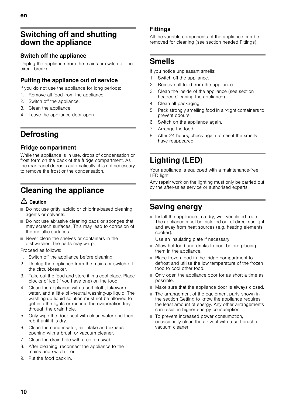# <span id="page-9-0"></span>Switching off and shutting down the appliance

### Switch off the appliance

Unplug the appliance from the mains or switch off the circuit-breaker.

### Putting the appliance out of service

If you do not use the appliance for long periods:

- 1. Remove all food from the appliance.
- 2. Switch off the appliance.
- 3. Clean the appliance.
- 4. Leave the appliance door open.

# <span id="page-9-1"></span>**Defrosting**

### Fridge compartment

While the appliance is in use, drops of condensation or frost form on the back of the fridge compartment. As the rear panel defrosts automatically, it is not necessary to remove the frost or the condensation.

# <span id="page-9-2"></span>Cleaning the appliance

### $\triangle$  Caution

- Do not use gritty, acidic or chlorine-based cleaning agents or solvents.
- Do not use abrasive cleaning pads or sponges that may scratch surfaces. This may lead to corrosion of the metallic surfaces.
- Never clean the shelves or containers in the dishwasher. The parts may warp.

Proceed as follows:

- 1. Switch off the appliance before cleaning.
- 2. Unplug the appliance from the mains or switch off the circuit-breaker.
- 3. Take out the food and store it in a cool place. Place blocks of ice (if you have one) on the food.
- 4. Clean the appliance with a soft cloth, lukewarm water, and a little pH-neutral washing-up liquid. The washing-up liquid solution must not be allowed to get into the lights or run into the evaporation tray through the drain hole.
- 5. Only wipe the door seal with clean water and then rub it until it is dry.
- 6. Clean the condensator, air intake and exhaust opening with a brush or vacuum cleaner.
- 7. Clean the drain hole with a cotton swab.
- 8. After cleaning, reconnect the appliance to the mains and switch it on.
- 9. Put the food back in.

### **Fittings**

All the variable components of the appliance can be removed for cleaning (see section headed Fittings).

# <span id="page-9-3"></span>Smells

If you notice unpleasant smells:

- 1. Switch off the appliance.
- 2. Remove all food from the appliance.
- 3. Clean the inside of the appliance (see section headed Cleaning the appliance).
- 4. Clean all packaging.
- 5. Pack strongly smelling food in air-tight containers to prevent odours.
- 6. Switch on the appliance again.
- 7. Arrange the food.
- 8. After 24 hours, check again to see if the smells have reappeared.

# <span id="page-9-4"></span>Lighting (LED)

Your appliance is equipped with a maintenance-free LED light.

Any repair work on the lighting must only be carried out by the after-sales service or authorised experts.

# <span id="page-9-5"></span>Saving energy

■ Install the appliance in a dry, well ventilated room. The appliance must be installed out of direct sunlight and away from heat sources (e.g. heating elements, cooker).

Use an insulating plate if necessary.

- Allow hot food and drinks to cool before placing them in the appliance.
- Place frozen food in the fridge compartment to defrost and utilise the low temperature of the frozen food to cool other food.
- Only open the appliance door for as short a time as possible.
- Make sure that the appliance door is always closed.
- The arrangement of the equipment parts shown in the section Getting to know the appliance requires the least amount of energy. Any other arrangements can result in higher energy consumption.
- To prevent increased power consumption, occasionally clean the air vent with a soft brush or vacuum cleaner.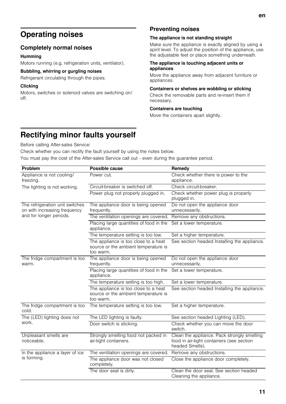### <span id="page-10-0"></span>Completely normal noises

#### Humming

Motors running (e.g. refrigeration units, ventilator).

#### Bubbling, whirring or gurgling noises

Refrigerant circulating through the pipes.

#### **Clicking**

Motors, switches or solenoid valves are switching on/ off.

### Preventing noises

#### The appliance is not standing straight

Make sure the appliance is exactly aligned by using a spirit level. To adjust the position of the appliance, use the adjustable feet or place something underneath.

#### The appliance is touching adjacent units or appliances

Move the appliance away from adjacent furniture or appliances.

#### Containers or shelves are wobbling or sticking

Check the removable parts and re-insert them if necessary.

#### Containers are touching

Move the containers apart slightly.

# <span id="page-10-1"></span>Rectifying minor faults yourself

Before calling After-sales Service:

Check whether you can rectify the fault yourself by using the notes below. You must pay the cost of the After-sales Service call out – even during the guarantee period.

| Problem                                                         | <b>Possible cause</b>                                                                     | Remedy                                                                                                      |
|-----------------------------------------------------------------|-------------------------------------------------------------------------------------------|-------------------------------------------------------------------------------------------------------------|
| Appliance is not cooling/<br>freezing.                          | Power cut.                                                                                | Check whether there is power to the<br>appliance.                                                           |
| The lighting is not working.                                    | Circuit-breaker is switched off.                                                          | Check circuit-breaker.                                                                                      |
|                                                                 | Power plug not properly plugged in.                                                       | Check whether power plug is properly<br>plugged in.                                                         |
| The refrigeration unit switches<br>on with increasing frequency | The appliance door is being opened<br>frequently.                                         | Do not open the appliance door<br>unnecessarily.                                                            |
| and for longer periods.                                         | The ventilation openings are covered.                                                     | Remove any obstructions.                                                                                    |
|                                                                 | Placing large quantities of food in the<br>appliance.                                     | Set a lower temperature.                                                                                    |
|                                                                 | The temperature setting is too low.                                                       | Set a higher temperature.                                                                                   |
|                                                                 | The appliance is too close to a heat<br>source or the ambient temperature is<br>too warm. | See section headed Installing the appliance.                                                                |
| The fridge compartment is too<br>warm.                          | The appliance door is being opened<br>frequently.                                         | Do not open the appliance door<br>unnecessarily.                                                            |
|                                                                 | Placing large quantities of food in the<br>appliance.                                     | Set a lower temperature.                                                                                    |
|                                                                 | The temperature setting is too high.                                                      | Set a lower temperature.                                                                                    |
|                                                                 | The appliance is too close to a heat<br>source or the ambient temperature is<br>too warm. | See section headed Installing the appliance.                                                                |
| The fridge compartment is too<br>cold.                          | The temperature setting is too low.                                                       | Set a higher temperature.                                                                                   |
| The (LED) lighting does not<br>work.                            | The LED lighting is faulty.                                                               | See section headed Lighting (LED).                                                                          |
|                                                                 | Door switch is sticking.                                                                  | Check whether you can move the door<br>switch.                                                              |
| Unpleasant smells are<br>noticeable.                            | Strongly smelling food not packed in<br>air-tight containers.                             | Clean the appliance. Pack strongly smelling<br>food in air-tight containers (see section<br>headed Smells). |
| In the appliance a layer of ice<br>is forming.                  | The ventilation openings are covered.                                                     | Remove any obstructions.                                                                                    |
|                                                                 | The appliance door was not closed<br>completely.                                          | Close the appliance door completely.                                                                        |
|                                                                 | The door seal is dirty.                                                                   | Clean the door seal. See section headed<br>Cleaning the appliance.                                          |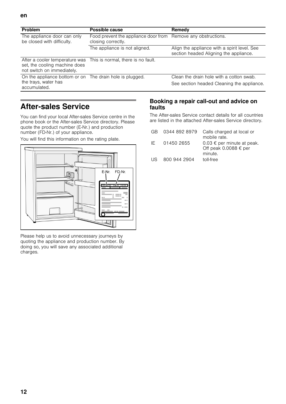| <b>Problem</b>                                              | Possible cause                                                                      | Remedy                                                                                 |
|-------------------------------------------------------------|-------------------------------------------------------------------------------------|----------------------------------------------------------------------------------------|
| The appliance door can only<br>be closed with difficulty.   | Food prevent the appliance door from Remove any obstructions.<br>closing correctly. |                                                                                        |
|                                                             | The appliance is not aligned.                                                       | Align the appliance with a spirit level. See<br>section headed Aligning the appliance. |
| set, the cooling machine does<br>not switch on immediately. | After a cooler temperature was This is normal, there is no fault.                   |                                                                                        |
| On the appliance bottom or on The drain hole is plugged.    |                                                                                     | Clean the drain hole with a cotton swab.                                               |
| the trays, water has<br>accumulated.                        |                                                                                     | See section headed Cleaning the appliance.                                             |

# <span id="page-11-0"></span>After-sales Service

You can find your local After-sales Service centre in the phone book or the After-sales Service directory. Please quote the product number (E-Nr.) and production number (FD-Nr.) of your appliance.

You will find this information on the rating plate.



Please help us to avoid unnecessary journeys by quoting the appliance and production number. By doing so, you will save any associated additional charges.

#### Booking a repair call-out and advice on faults

The After-sales Service contact details for all countries are listed in the attached After-sales Service directory.

| GR.  | 0344 892 8979 | Calls charged at local or<br>mobile rate.                                      |
|------|---------------|--------------------------------------------------------------------------------|
| IF.  | 01450 2655    | $0.03 \notin$ per minute at peak.<br>Off peak 0.0088 $\epsilon$ per<br>minute. |
| LIS. | 800 944 2904  | toll-free                                                                      |